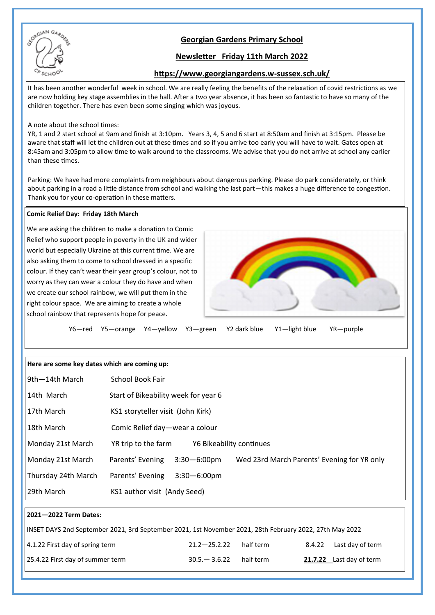

# **Georgian Gardens Primary School**

## **Newsletter Friday 11th March 2022**

## **https://www.georgiangardens.w-sussex.sch.uk/**

It has been another wonderful week in school. We are really feeling the benefits of the relaxation of covid restrictions as we are now holding key stage assemblies in the hall. After a two year absence, it has been so fantastic to have so many of the children together. There has even been some singing which was joyous.

#### A note about the school times:

YR, 1 and 2 start school at 9am and finish at 3:10pm. Years 3, 4, 5 and 6 start at 8:50am and finish at 3:15pm. Please be aware that staff will let the children out at these times and so if you arrive too early you will have to wait. Gates open at 8:45am and 3:05pm to allow time to walk around to the classrooms. We advise that you do not arrive at school any earlier than these times.

Parking: We have had more complaints from neighbours about dangerous parking. Please do park considerately, or think about parking in a road a little distance from school and walking the last part—this makes a huge difference to congestion. Thank you for your co-operation in these matters.

#### **Comic Relief Day: Friday 18th March**

We are asking the children to make a donation to Comic Relief who support people in poverty in the UK and wider world but especially Ukraine at this current time. We are also asking them to come to school dressed in a specific colour. If they can't wear their year group's colour, not to worry as they can wear a colour they do have and when we create our school rainbow, we will put them in the right colour space. We are aiming to create a whole school rainbow that represents hope for peace.



|  |  |  |  |  | Y6-red Y5-orange Y4-yellow Y3-green Y2 dark blue Y1-light blue YR-purple |  |
|--|--|--|--|--|--------------------------------------------------------------------------|--|
|--|--|--|--|--|--------------------------------------------------------------------------|--|

| Here are some key dates which are coming up: |  |  |  |  |
|----------------------------------------------|--|--|--|--|
|----------------------------------------------|--|--|--|--|

| 9th-14th March      | School Book Fair                                                                    |  |  |  |
|---------------------|-------------------------------------------------------------------------------------|--|--|--|
| 14th March          | Start of Bikeability week for year 6                                                |  |  |  |
| 17th March          | KS1 storyteller visit (John Kirk)                                                   |  |  |  |
| 18th March          | Comic Relief day-wear a colour                                                      |  |  |  |
| Monday 21st March   | YR trip to the farm<br>Y6 Bikeability continues                                     |  |  |  |
| Monday 21st March   | Parents' Evening<br>Wed 23rd March Parents' Evening for YR only<br>$3:30 - 6:00$ pm |  |  |  |
| Thursday 24th March | Parents' Evening<br>$3:30 - 6:00$ pm                                                |  |  |  |
| 29th March          | KS1 author visit (Andy Seed)                                                        |  |  |  |
|                     |                                                                                     |  |  |  |

### **2021—2022 Term Dates:**

| INSET DAYS 2nd September 2021, 3rd September 2021, 1st November 2021, 28th February 2022, 27th May 2022 |                  |           |  |                          |  |  |
|---------------------------------------------------------------------------------------------------------|------------------|-----------|--|--------------------------|--|--|
| $ 4.1.22$ First day of spring term                                                                      | $21.2 - 25.2.22$ | half term |  | 8.4.22 Last day of term  |  |  |
| 25.4.22 First day of summer term                                                                        | $30.5 - 3.6.22$  | half term |  | 21.7.22 Last day of term |  |  |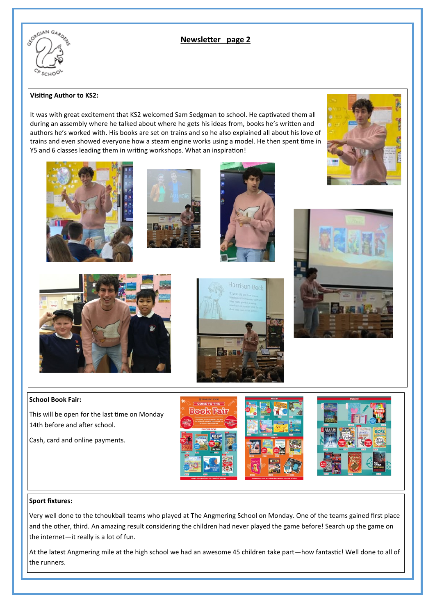

## **Newsletter page 2**

#### **Visiting Author to KS2:**

It was with great excitement that KS2 welcomed Sam Sedgman to school. He captivated them all during an assembly where he talked about where he gets his ideas from, books he's written and authors he's worked with. His books are set on trains and so he also explained all about his love of trains and even showed everyone how a steam engine works using a model. He then spent time in Y5 and 6 classes leading them in writing workshops. What an inspiration!









Harrison Ber





#### **School Book Fair:**

This will be open for the last time on Monday 14th before and after school.

Cash, card and online payments.



## **Sport fixtures:**

Very well done to the tchoukball teams who played at The Angmering School on Monday. One of the teams gained first place and the other, third. An amazing result considering the children had never played the game before! Search up the game on the internet—it really is a lot of fun.

At the latest Angmering mile at the high school we had an awesome 45 children take part—how fantastic! Well done to all of the runners.